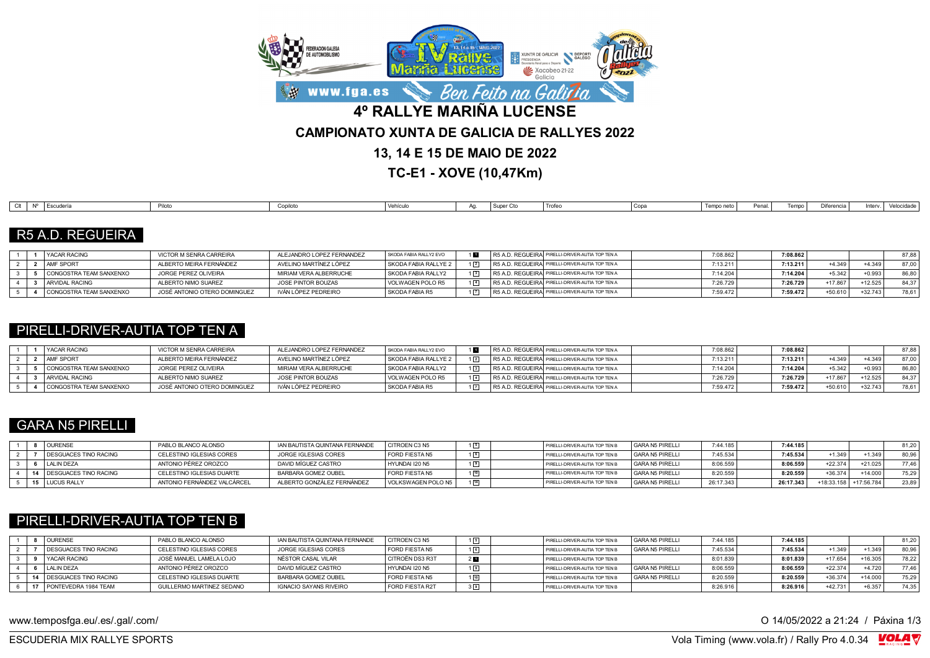

**TC-E1 - XOVE (10,47Km)**

| Difere<br>Piloto<br>Copa<br>Vehículo<br>Escudería<br>Tempo<br>Trofer<br>Tempo neto<br>Penal<br>Inter<br>Conilot<br>I Super<br>$\sim$<br><b>L</b> ocuucii<br>$\sim$ $\sim$ $\sim$<br> |  |  |  |  |  |  |  |            |
|--------------------------------------------------------------------------------------------------------------------------------------------------------------------------------------|--|--|--|--|--|--|--|------------|
|                                                                                                                                                                                      |  |  |  |  |  |  |  | Velocidade |

### R5 A.D. REGUEIRA

|  | <b>I YACAR RACING</b>   | VICTOR M SENRA CARREIRA      | ALEJANDRO LOPEZ FERNANDEZ | SKODA FABIA RALLY2 EVO |  | R5 A.D. REGUEIRAI PIRELLI-DRIVER-AUTIA TOP TEN A | 7:08.862 | 7:08.862 |           |           | 87.88 |
|--|-------------------------|------------------------------|---------------------------|------------------------|--|--------------------------------------------------|----------|----------|-----------|-----------|-------|
|  | <b>AMF SPORT</b>        | ALBERTO MEIRA FERNÁNDEZ      | AVELINO MARTÍNEZ LÓPEZ    | SKODA FABIA RALLYE 2   |  | R5 A.D. REGUEIRA PIRELLI-DRIVER-AUTIA TOP TEN A  | 7:13.21  | 7:13.211 | $+4.349$  | $+4.349$  | 87.00 |
|  | CONGOSTRA TEAM SANXENXO | JORGE PEREZ OLIVEIRA         | MIRIAM VERA ALBERRUCHE    | SKODA FABIA RALLY2     |  | R5 A.D. REGUEIRAI PIRELLI-DRIVER-AUTIA TOP TEN A | 7:14.204 | 7:14.204 | $+5.342$  | $+0.993$  | 86.80 |
|  | <b>ARVIDAL RACING</b>   | ALBERTO NIMO SUAREZ          | JOSE PINTOR BOUZAS        | VOLWAGEN POLO R5       |  | R5 A.D. REGUEIRAI PIRELLI-DRIVER-AUTIA TOP TEN A | 7:26.729 | 7:26.729 | +17.867   | $+12.525$ |       |
|  | CONGOSTRA TEAM SANXENXO | JOSÉ ANTONIO OTERO DOMINGUEZ | IVÁN LÓPEZ PEDREIRO       | SKODA FABIA R5         |  | R5 A.D. REGUEIRA PIRELLI-DRIVER-AUTIA TOP TEN A  | 7:59.472 | 7:59.472 | $+50.610$ | $+32.743$ | 78.61 |

## PIRELLI-DRIVER-AUTIA TOP TEN A

|  | <b>YACAR RACING</b>     | VICTOR M SENRA CARREIRA      | ALEJANDRO LOPEZ FERNANDEZ | SKODA FABIA RALLY2 EVO |             | R5 A.D. REGUEIRA PIRELLI-DRIVER-AUTIA TOP TEN A | 7:08.86  | 7:08.862 |           |           | 87.88   |
|--|-------------------------|------------------------------|---------------------------|------------------------|-------------|-------------------------------------------------|----------|----------|-----------|-----------|---------|
|  | <b>AMF SPORT</b>        | ALBERTO MEIRA FERNÁNDEZ      | AVELINO MARTÍNEZ LÓPEZ    | SKODA FABIA RALLYE 2   | $1\sqrt{2}$ | R5 A.D. REGUEIRA PIRELLI-DRIVER-AUTIA TOP TEN A | 7:13.211 | 7:13.211 | $+4.349$  | +4 349    | 87.00 i |
|  | CONGOSTRA TEAM SANXENXO | JORGE PEREZ OLIVEIRA         | MIRIAM VERA ALBERRUCHE    | SKODA FABIA RALLY2     | $1\sqrt{3}$ | R5 A.D. REGUEIRA PIRELLI-DRIVER-AUTIA TOP TEN A | 7:14.20  | 7:14.204 | $+5.342$  | $+0.993$  | 86.80   |
|  | ARVIDAL RACING          | ALBERTO NIMO SUAREZ          | JOSE PINTOR BOUZAS        | VOLWAGEN POLO R5       | $1\sqrt{4}$ | R5 A.D. REGUEIRA PIRELLI-DRIVER-AUTIA TOP TEN A | 7:26.729 | 7:26.729 | +17.867   | $+12.525$ | 84.37   |
|  | CONGOSTRA TEAM SANXENXO | JOSÉ ANTONIO OTERO DOMINGUEZ | IVÁN LÓPEZ PEDREIRO       | l SKODA FABIA R5       |             | R5 A.D. REGUEIRA PIRELLI-DRIVER-AUTIA TOP TEN A | 7:59.472 | 7:59.472 | $+50.610$ | $+32.743$ | 78.61   |

## GARA N5 PIRELLI

|  | <b>OURENSE</b>           | PABLO BLANCO ALONSO         | IAN BAUTISTA QUINTANA FERNANDE | CITROEN C3 N5      | $\boxed{5}$ | PIRELLI-DRIVER-AUTIA TOP TEN B | GARA N5 PIRELLI | 7:44.185  | 7:44.185  |            |            | 81.20 |
|--|--------------------------|-----------------------------|--------------------------------|--------------------|-------------|--------------------------------|-----------------|-----------|-----------|------------|------------|-------|
|  | DESGUACES TINO RACING    | CELESTINO IGLESIAS CORES    | JORGE IGLESIAS CORES           | FORD FIESTA N5     | 6           | PIRELLI-DRIVER-AUTIA TOP TEN B | GARA N5 PIRELLI | 7:45.534  | 7:45.534  | $+1.349$   | $+1.349$   | 80.96 |
|  | LALIN DEZA               | ANTONIO PÉREZ OROZCO        | DAVID MÍGUEZ CASTRO            | HYUNDAI I20 N5     |             | PIRELLI-DRIVER-AUTIA TOP TEN B | GARA N5 PIRELLI | 8:06.559  | 8:06.559  | $+22.374$  | $+21.025$  | 77.46 |
|  | 14 DESGUACES TINO RACING | CELESTINO IGLESIAS DUARTE   | BARBARA GOMEZ OUBEL            | FORD FIESTA N5     | 10          | PIRELLI-DRIVER-AUTIA TOP TEN B | GARA N5 PIRELLI | 8:20.559  | 8:20.559  | +36.374    | $+14.000$  | 75.29 |
|  | 15 LUCUS RALLY           | ANTONIO FERNÁNDEZ VALCÁRCEL | ALBERTO GONZÁLEZ FERNÁNDEZ     | VOLKSWAGEN POLO N5 | 14          | PIRELLI-DRIVER-AUTIA TOP TEN B | GARA N5 PIRELLI | 26:17.343 | 26:17.343 | +18:33.158 | +17:56.784 | 23,89 |

## PIRELLI-DRIVER-AUTIA TOP TEN B

|  | <b>OURENSE</b>                    | PABLO BLANCO ALONSO       | IAN BAUTISTA QUINTANA FERNANDE | <b>CITROEN C3 N5</b>   |  | PIRELLI-DRIVER-AUTIA TOP TEN B | GARA N5 PIRELLI | 7:44.185 | 7:44.185 |           |           | 81.20 |
|--|-----------------------------------|---------------------------|--------------------------------|------------------------|--|--------------------------------|-----------------|----------|----------|-----------|-----------|-------|
|  | DESGUACES TINO RACING             | CELESTINO IGLESIAS CORES  | JORGE IGLESIAS CORES           | <b>FORD FIESTA N5</b>  |  | PIRELLI-DRIVER-AUTIA TOP TEN B | GARA N5 PIRELLI | 7:45.534 | 7:45.534 | $+1.349$  | $+1.349$  | 80.96 |
|  | <b>YACAR RACING</b>               | JOSÉ MANUEL LAMELA LOJO   | NÉSTOR CASAL VILAR             | CITROËN DS3 R3T        |  | PIRELLI-DRIVER-AUTIA TOP TEN B |                 | 8:01.839 | 8:01.839 | +17.654   | $+16.305$ | 78.22 |
|  | LALIN DEZA                        | ANTONIO PÉREZ OROZCO      | DAVID MÍGUEZ CASTRO            | HYUNDAI I20 N5         |  | PIRELLI-DRIVER-AUTIA TOP TEN B | GARA N5 PIRELLI | 8:06.559 | 8:06.559 | $+22.374$ | $+4.720$  | 77.46 |
|  | <b>14   DESGUACES TINO RACING</b> | CELESTINO IGLESIAS DUARTE | BARBARA GOMEZ OUBEL            | <b>FORD FIESTA N5</b>  |  | PIRELLI-DRIVER-AUTIA TOP TEN B | GARA N5 PIRELLI | 8:20.559 | 8:20.559 | $+36.374$ | $+14.000$ | 75.29 |
|  | 17 PONTEVEDRA 1984 TEAM           | GUILLERMO MARTINEZ SEDANO | IGNACIO SAYANS RIVEIRO         | <b>FORD FIESTA R2T</b> |  | PIRELLI-DRIVER-AUTIA TOP TEN B |                 | 8:26.91  | 8:26.916 | $+42731$  | +6.357    | 74.35 |

www.temposfga.eu/.es/.gal/.com/ **O 14/05/2022** a 21:24 / Páxina 1/3

VolaSoftControlPdf ESCUDERIA MIX RALLYE SPORTS Vola Timing (www.vola.fr) / Rally Pro 4.0.34

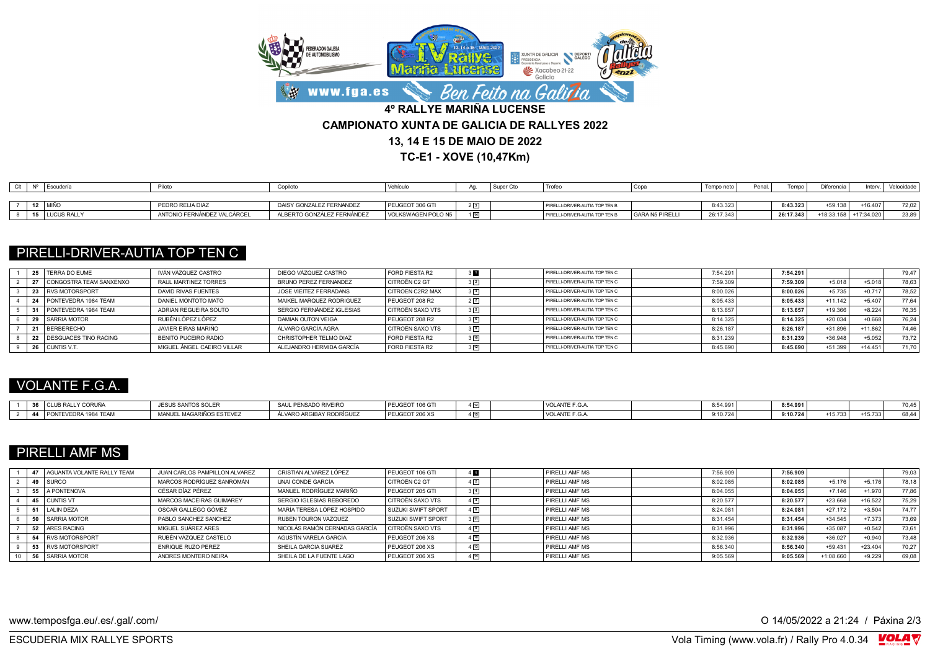

**TC-E1 - XOVE (10,47Km)**

| Clt | N° | Escudería        | Piloto                      | Copilot                    | veniculo           |                   | Super | 'Trofeo                          |                 | mo new.   | Penal |           | <b>Diferencia</b> | Interv            | Velocidade |
|-----|----|------------------|-----------------------------|----------------------------|--------------------|-------------------|-------|----------------------------------|-----------------|-----------|-------|-----------|-------------------|-------------------|------------|
|     |    |                  |                             |                            |                    |                   |       |                                  |                 |           |       |           |                   |                   |            |
|     |    | 12   MIÑO        | PEDRO REIJA DIAZ            | DAISY GONZALEZ FERNANDEZ   | PEUGEOT 306 GTI    |                   |       | PIRELLI-DRIVER-AUTIA TOP TEN B   |                 | 8:43.323  |       | 8:43.323  | +59.138           | $-16.407$         | 72.02      |
|     |    | 15   LUCUS RALLY | ANTONIO FERNÁNDEZ VALCÁRCEL | ALBERTO GONZÁLEZ FERNÁNDEZ | VOLKSWAGEN POLO N5 | $1 \overline{14}$ |       | I PIRELLI-DRIVER-AUTIA TOP TEN B | GARA N5 PIRELLI | 26:17.343 |       | 26:17.343 | 18:33.158         | 7:34.020<br>$+17$ | 23,89      |

## PIRELLI-DRIVER-AUTIA TOP TEN C

|  | 25   TERRA DO EUME      | IVÁN VÁZOUEZ CASTRO        | DIEGO VÁZQUEZ CASTRO         | FORD FIESTA R2          | 3 <b>FF</b>  | PIRELLI-DRIVER-AUTIA TOP TEN C | 7:54.291 | 7:54.291 |           |           | 79,47 |
|--|-------------------------|----------------------------|------------------------------|-------------------------|--------------|--------------------------------|----------|----------|-----------|-----------|-------|
|  | CONGOSTRA TEAM SANXENXO | RAUL MARTINEZ TORRES       | <b>BRUNO PEREZ FERNANDEZ</b> | CITROËN C2 GT           | $3\sqrt{2}$  | PIRELLI-DRIVER-AUTIA TOP TEN C | 7:59.309 | 7:59.309 | $+5.018$  | $+5.018$  | 78,63 |
|  | <b>RVS MOTORSPORT</b>   | DAVID RIVAS FUENTES        | JOSE VIEITEZ FERRADANS       | <b>CITROEN C2R2 MAX</b> | $3\sqrt{3}$  | PIRELLI-DRIVER-AUTIA TOP TEN C | 8:00.026 | 8:00.026 | $+5.735$  | $+0.717$  | 78,52 |
|  | Ⅰ PONTFVEDRA 1984 TEAM  | DANIEL MONTOTO MATO        | MAIKEL MARQUEZ RODRIGUEZ     | PEUGEOT 208 R2          | $2\sqrt{2}$  | PIRELLI-DRIVER-AUTIA TOP TEN C | 8:05.433 | 8:05.433 | $+11.142$ | $+5.407$  | 77.64 |
|  | PONTEVEDRA 1984 TEAM    | ADRIAN REGUEIRA SOUTO      | SERGIO FERNÁNDEZ IGLESIAS    | CITROËN SAXO VTS        | $3\sqrt{5}$  | PIRELLI-DRIVER-AUTIA TOP TEN C | 8:13.657 | 8:13.657 | $+19.366$ | $+8.224$  | 76.35 |
|  | SARRIA MOTOR            | RUBÉN LÓPEZ LÓPEZ          | DAMIAN OUTON VEIGA           | PEUGEOT 208 R2          | 36           | PIRELLI-DRIVER-AUTIA TOP TEN C | 8:14.325 | 8:14.325 | $+20.034$ | $+0.668$  | 76.24 |
|  | BERBERECHO              | JAVIER EIRAS MARIÑO        | ÁLVARO GARCÍA AGRA           | CITROËN SAXO VTS        | $3^{8}$      | PIRELLI-DRIVER-AUTIA TOP TEN C | 8:26.187 | 8:26.187 | $+31.896$ | $+11.862$ | 74.46 |
|  | DESGUACES TINO RACING   | BENITO PUCEIRO RADIO       | CHRISTOPHER TELMO DIAZ       | FORD FIESTA R2          | $3\sqrt{10}$ | PIRELLI-DRIVER-AUTIA TOP TEN C | 8:31.239 | 8:31.239 | $+36.948$ | $+5.052$  | 73.72 |
|  | CUNTIS V.T.             | MIGUEL ÁNGEL CAEIRO VILLAR | ALEJANDRO HERMIDA GARCÍA     | FORD FIESTA R2          | $3^{12}$     | PIRELLI-DRIVER-AUTIA TOP TEN C | 8:45.690 | 8:45.690 | +51.399   | +14.451   | 71,70 |

## VOLANTE F.G.A.

|  | I CLUB RALLY<br>Y CORUNA | JESUS SANTOS <sup>o∩∵</sup><br>UJ JULEI | <b>PENSADO RIVEIRO</b><br><b>CAIL</b> | PEUGEOT<br>106 G` |    | VOLANTE F.G.A        | 54.991 | 8:54.991 |        |        | 70.45   |
|--|--------------------------|-----------------------------------------|---------------------------------------|-------------------|----|----------------------|--------|----------|--------|--------|---------|
|  | PONTEVEDRA 1984 TEAM     | '. MAGARIÑOS ESTEVEZ<br>manui           | ⊀HBAY RODRÍGUE⊶<br>.VARO ARC          | PEUGEOT 206 XS    | 15 | <b>VOLANTE F.G.A</b> | :10.72 | 9:10.724 | 15.733 | 15.733 | ' 44ء ر |

# PIRELLI AMF MS

|  | 47   AGUANTA VOLANTE RALLY TEAM | JUAN CARLOS PAMPILLON ALVAREZ | CRISTIAN ALVAREZ LÓPEZ        | PEUGEOT 106 GTI    |                    | PIRELLI AMF MS        | 7:56.909 | 7:56.909 |           |           | 79,03 |
|--|---------------------------------|-------------------------------|-------------------------------|--------------------|--------------------|-----------------------|----------|----------|-----------|-----------|-------|
|  | 49 SURCO                        | MARCOS RODRÍGUEZ SANROMÁN     | UNAI CONDE GARCÍA             | CITROËN C2 GT      | $4\sqrt{2}$        | PIRELLI AMF MS        | 8:02.085 | 8:02.085 | $+5.176$  | $+5.176$  | 78.18 |
|  | 55 A PONTENOVA                  | CÉSAR DÍAZ PÉREZ              | MANUEL RODRÍGUEZ MARIÑO       | PEUGEOT 205 GTI    | $3\sqrt{4}$        | <b>PIRELLI AME MS</b> | 8:04.055 | 8:04.055 | $+7.146$  | $+1.970$  | 77.86 |
|  | 45 CUNTIS VT                    | MARCOS MACEIRAS GUIMAREY      | SERGIO IGLESIAS REBOREDO      | CITROËN SAXO VTS   | $4\sqrt{4}$        | PIRELLI AME MS        | 8:20.577 | 8:20.577 | $+23.668$ | $+16.522$ | 75.29 |
|  | 51 LALIN DEZA                   | OSCAR GALLEGO GÓMEZ           | MARÍA TERESA LÓPEZ HOSPIDO    | SUZUKI SWIFT SPORT | $4\sqrt{6}$        | PIRELLI AMF MS        | 8:24.08  | 8:24.081 | $+27.172$ | $+3.504$  | 74.77 |
|  | 50 SARRIA MOTOR                 | PABLO SANCHEZ SANCHEZ         | RUBEN TOURON VAZQUEZ          | SUZUKI SWIFT SPORT | $3\sqrt{11}$       | PIRELLI AMF MS        | 8:31.454 | 8:31.454 | $+34.545$ | $+7.373$  | 73,69 |
|  | 52 ARES RACING                  | MIGUEL SUÁREZ ARES            | NICOLÁS RAMÓN CERNADAS GARCÍA | CITROËN SAXO VTS   | $4^{8}$            | <b>PIRELLI AMF MS</b> | 8:31.996 | 8:31.996 | $+35.087$ | $+0.542$  | 73.61 |
|  | 54 RVS MOTORSPORT               | RUBÉN VÁZOUEZ CASTELO         | AGUSTÍN VARELA GARCÍA         | PEUGEOT 206 XS     | $4\sqrt{10}$       | <b>PIRELLI AME MS</b> | 8:32.936 | 8:32.936 | $+36.027$ | $+0.940$  | 73.48 |
|  | 53 RVS MOTORSPORT               | <b>ENRIQUE RUZO PEREZ</b>     | SHEILA GARCIA SUAREZ          | PEUGEOT 206 XS     | $4 \overline{)13}$ | PIRELLI AMF MS        | 8:56.340 | 8:56.340 | $+59.431$ | $+23.404$ | 70.27 |
|  | 56 SARRIA MOTOR                 | ANDRES MONTERO NEIRA          | SHEILA DE LA FUENTE LAGO      | PEUGEOT 206 XS     | 4[14]              | <b>PIRELLI AMF MS</b> | 9:05.569 | 9:05.569 | +1:08.660 | $+9.229$  | 69,08 |

www.temposfga.eu/.es/.gal/.com/ **O 14/05/2022** a 21:24 / Páxina 2/3